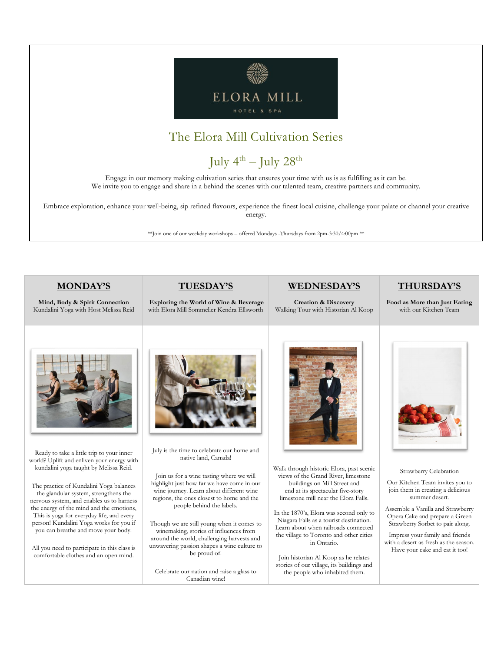

## The Elora Mill Cultivation Series

# July  $4^{th}$  – July  $28^{th}$

Engage in our memory making cultivation series that ensures your time with us is as fulfilling as it can be. We invite you to engage and share in a behind the scenes with our talented team, creative partners and community.

Embrace exploration, enhance your well-being, sip refined flavours, experience the finest local cuisine, challenge your palate or channel your creative energy.

\*\*Join one of our weekday workshops – offered Mondays -Thursdays from 2pm-3:30/4:00pm \*\*

#### **MONDAY'S**

**Mind, Body & Spirit Connection**  Kundalini Yoga with Host Melissa Reid

#### **TUESDAY'S**

**Exploring the World of Wine & Beverage** with Elora Mill Sommelier Kendra Ellsworth

#### **WEDNESDAY'S**

**Creation & Discovery**  Walking Tour with Historian Al Koop **THURSDAY'S**

**Food as More than Just Eating**  with our Kitchen Team



Ready to take a little trip to your inner world? Uplift and enliven your energy with kundalini yoga taught by Melissa Reid.

The practice of Kundalini Yoga balances the glandular system, strengthens the nervous system, and enables us to harness the energy of the mind and the emotions, This is yoga for everyday life, and every person! Kundalini Yoga works for you if you can breathe and move your body.

All you need to participate in this class is comfortable clothes and an open mind.



July is the time to celebrate our home and native land, Canada!

Join us for a wine tasting where we will highlight just how far we have come in our wine journey. Learn about different wine regions, the ones closest to home and the people behind the labels.

Though we are still young when it comes to winemaking, stories of influences from around the world, challenging harvests and unwavering passion shapes a wine culture to be proud of.

Celebrate our nation and raise a glass to Canadian wine!



Walk through historic Elora, past scenic views of the Grand River, limestone buildings on Mill Street and end at its spectacular five-story limestone mill near the Elora Falls.

In the 1870's, Elora was second only to Niagara Falls as a tourist destination. Learn about when railroads connected the village to Toronto and other cities in Ontario.

Join historian Al Koop as he relates stories of our village, its buildings and the people who inhabited them.



Strawberry Celebration

Our Kitchen Team invites you to join them in creating a delicious summer desert.

Assemble a Vanilla and Strawberry Opera Cake and prepare a Green Strawberry Sorbet to pair along.

Impress your family and friends with a desert as fresh as the season. Have your cake and eat it too!